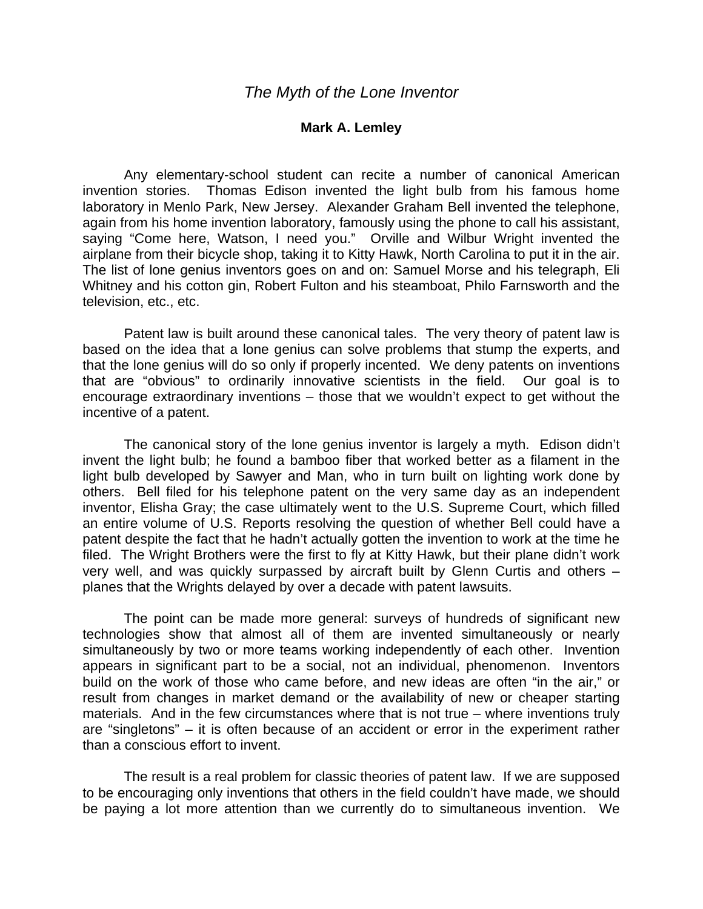## **Mark A. Lemley**

 Any elementary-school student can recite a number of canonical American invention stories. Thomas Edison invented the light bulb from his famous home laboratory in Menlo Park, New Jersey. Alexander Graham Bell invented the telephone, again from his home invention laboratory, famously using the phone to call his assistant, saying "Come here, Watson, I need you." Orville and Wilbur Wright invented the airplane from their bicycle shop, taking it to Kitty Hawk, North Carolina to put it in the air. The list of lone genius inventors goes on and on: Samuel Morse and his telegraph, Eli Whitney and his cotton gin, Robert Fulton and his steamboat, Philo Farnsworth and the television, etc., etc.

 Patent law is built around these canonical tales. The very theory of patent law is based on the idea that a lone genius can solve problems that stump the experts, and that the lone genius will do so only if properly incented. We deny patents on inventions that are "obvious" to ordinarily innovative scientists in the field. Our goal is to encourage extraordinary inventions – those that we wouldn't expect to get without the incentive of a patent.

 The canonical story of the lone genius inventor is largely a myth. Edison didn't invent the light bulb; he found a bamboo fiber that worked better as a filament in the light bulb developed by Sawyer and Man, who in turn built on lighting work done by others. Bell filed for his telephone patent on the very same day as an independent inventor, Elisha Gray; the case ultimately went to the U.S. Supreme Court, which filled an entire volume of U.S. Reports resolving the question of whether Bell could have a patent despite the fact that he hadn't actually gotten the invention to work at the time he filed. The Wright Brothers were the first to fly at Kitty Hawk, but their plane didn't work very well, and was quickly surpassed by aircraft built by Glenn Curtis and others – planes that the Wrights delayed by over a decade with patent lawsuits.

 The point can be made more general: surveys of hundreds of significant new technologies show that almost all of them are invented simultaneously or nearly simultaneously by two or more teams working independently of each other. Invention appears in significant part to be a social, not an individual, phenomenon. Inventors build on the work of those who came before, and new ideas are often "in the air," or result from changes in market demand or the availability of new or cheaper starting materials. And in the few circumstances where that is not true – where inventions truly are "singletons" – it is often because of an accident or error in the experiment rather than a conscious effort to invent.

 The result is a real problem for classic theories of patent law. If we are supposed to be encouraging only inventions that others in the field couldn't have made, we should be paying a lot more attention than we currently do to simultaneous invention. We